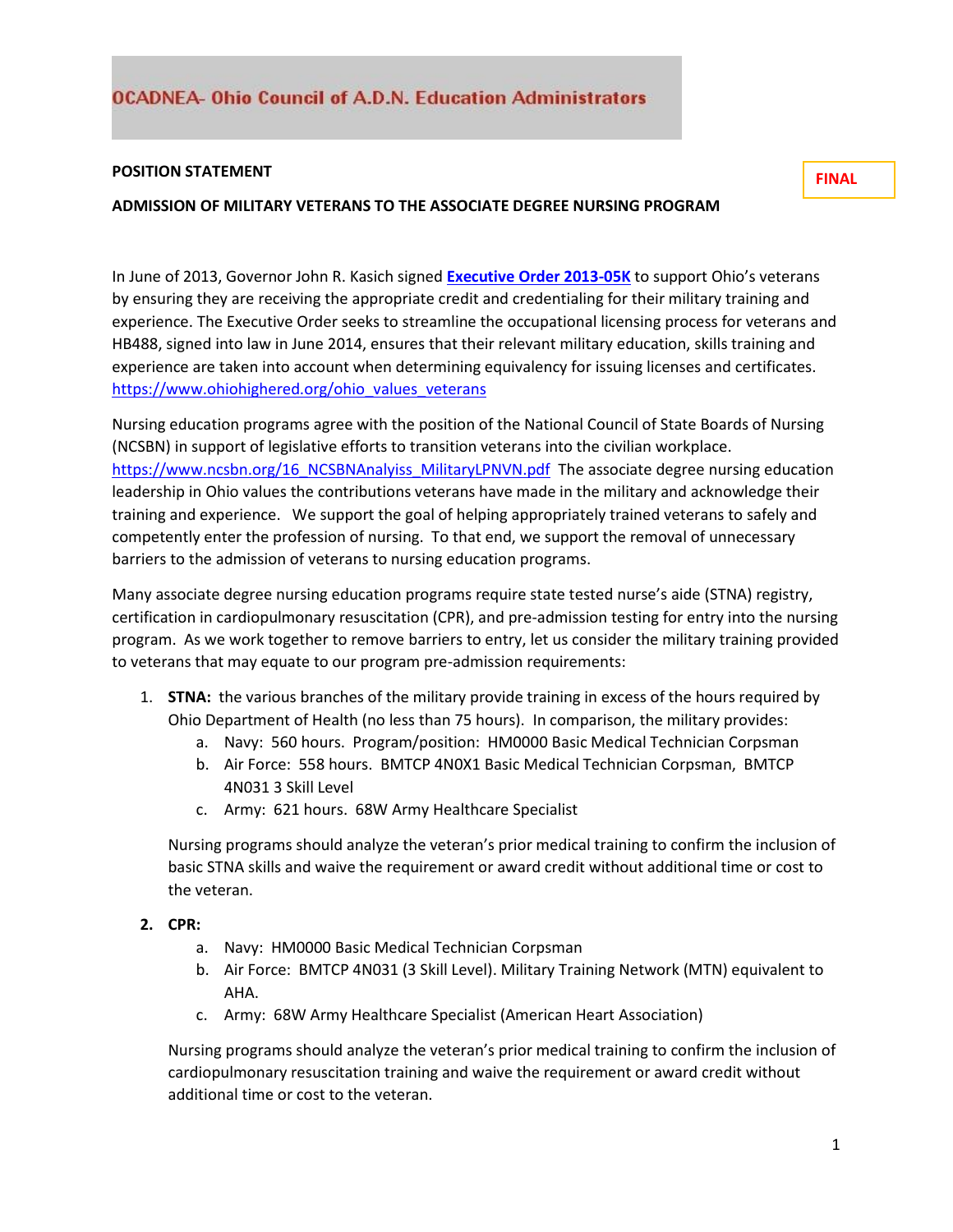## **POSITION STATEMENT**

**ADMISSION OF MILITARY VETERANS TO THE ASSOCIATE DEGREE NURSING PROGRAM**

In June of 2013, Governor John R. Kasich signed **[Executive Order 2013-05K](http://www.governor.ohio.gov/Portals/0/Executive%20Order%202013-05K.pdf)** to support Ohio's veterans by ensuring they are receiving the appropriate credit and credentialing for their military training and experience. The Executive Order seeks to streamline the occupational licensing process for veterans and HB488, signed into law in June 2014, ensures that their relevant military education, skills training and experience are taken into account when determining equivalency for issuing licenses and certificates. [https://www.ohiohighered.org/ohio\\_values\\_veterans](https://www.ohiohighered.org/ohio_values_veterans)

Nursing education programs agree with the position of the National Council of State Boards of Nursing (NCSBN) in support of legislative efforts to transition veterans into the civilian workplace. [https://www.ncsbn.org/16\\_NCSBNAnalyiss\\_MilitaryLPNVN.pdf](https://www.ncsbn.org/16_NCSBNAnalyiss_MilitaryLPNVN.pdf) The associate degree nursing education leadership in Ohio values the contributions veterans have made in the military and acknowledge their training and experience. We support the goal of helping appropriately trained veterans to safely and competently enter the profession of nursing. To that end, we support the removal of unnecessary barriers to the admission of veterans to nursing education programs.

Many associate degree nursing education programs require state tested nurse's aide (STNA) registry, certification in cardiopulmonary resuscitation (CPR), and pre-admission testing for entry into the nursing program. As we work together to remove barriers to entry, let us consider the military training provided to veterans that may equate to our program pre-admission requirements:

- 1. **STNA:** the various branches of the military provide training in excess of the hours required by Ohio Department of Health (no less than 75 hours). In comparison, the military provides:
	- a. Navy: 560 hours. Program/position: HM0000 Basic Medical Technician Corpsman
	- b. Air Force: 558 hours. BMTCP 4N0X1 Basic Medical Technician Corpsman, BMTCP 4N031 3 Skill Level
	- c. Army: 621 hours. 68W Army Healthcare Specialist

Nursing programs should analyze the veteran's prior medical training to confirm the inclusion of basic STNA skills and waive the requirement or award credit without additional time or cost to the veteran.

- **2. CPR:**
	- a. Navy: HM0000 Basic Medical Technician Corpsman
	- b. Air Force: BMTCP 4N031 (3 Skill Level). Military Training Network (MTN) equivalent to AHA.
	- c. Army: 68W Army Healthcare Specialist (American Heart Association)

Nursing programs should analyze the veteran's prior medical training to confirm the inclusion of cardiopulmonary resuscitation training and waive the requirement or award credit without additional time or cost to the veteran.

**FINAL**